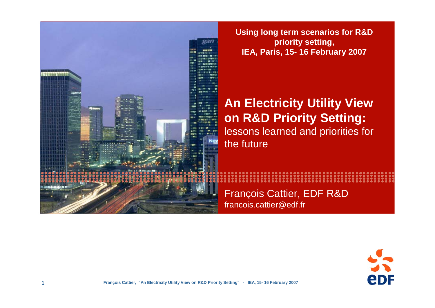

**Using long term scenarios for R&D priority setting, IEA, Paris, 15- 16 February 2007**

### **An Electricity Utility View on R&D Priority Setting:**  lessons learned and priorities for the future

François Cattier, EDF R&D francois.cattier@edf.fr

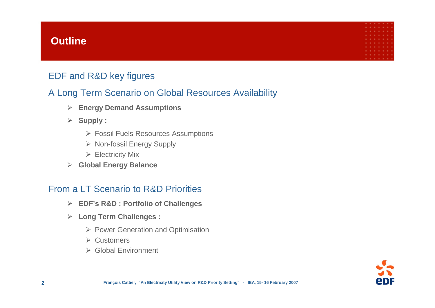### **Outline**

### EDF and R&D key figures

### A Long Term Scenario on Global Resources Availability

- ¾ **Energy Demand Assumptions**
- ¾ **Supply :**
	- ¾ Fossil Fuels Resources Assumptions
	- ¾ Non-fossil Energy Supply
	- $\triangleright$  Electricity Mix
- ¾ **Global Energy Balance**

### From a LT Scenario to R&D Priorities

- ¾ **EDF's R&D : Portfolio of Challenges**
- ¾ **Long Term Challenges :**
	- ¾ Power Generation and Optimisation
	- ¾ Customers
	- ¾ Global Environment

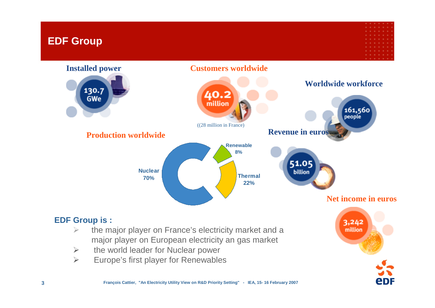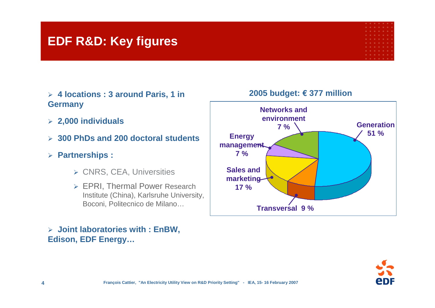## **EDF R&D: Key figures**

- ¾ **4 locations : 3 around Paris, 1 in Germany**
- ¾ **2,000 individuals**
- ¾ **300 PhDs and 200 doctoral students**
- ¾ **Partnerships :** 
	- ¾ CNRS, CEA, Universities
	- ¾ EPRI, Thermal Power Research Institute (China), Karlsruhe University, Boconi, Politecnico de Milano…

### ¾ **Joint laboratories with : EnBW, Edison, EDF Energy…**



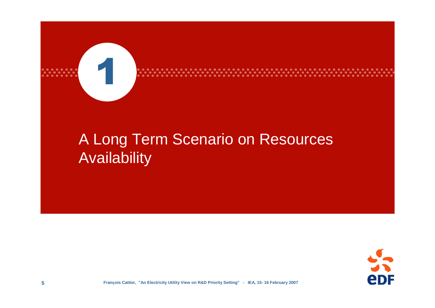

# A Long Term Scenario on Resources Availability

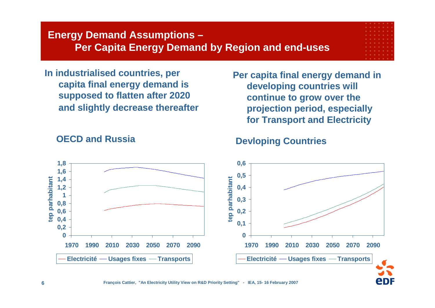### **Energy Demand Assumptions – Per Capita Energy Demand by Region and end-uses**

**In industrialised countries, per capita final energy demand is supposed to flatten after 2020 and slightly decrease thereafter**

**Per capita final energy demand in developing countries will continue to grow over the projection period, especially for Transport and Electricity**



### **OECD and Russia**

### **Devloping Countries**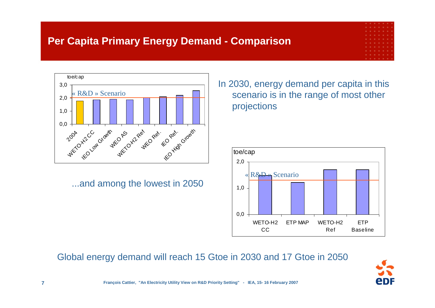### **Per Capita Primary Energy Demand - Comparison**



...and among the lowest in 2050

In 2030, energy demand per capita in this scenario is in the range of most other projections



Global energy demand will reach 15 Gtoe in 2030 and 17 Gtoe in 2050

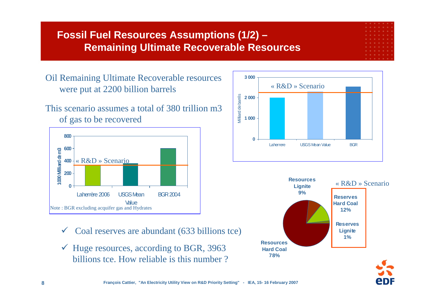### **Fossil Fuel Resources Assumptions (1/2) – Remaining Ultimate Recoverable Resources**

Oil Remaining Ultimate Recoverable resources were put at 2200 billion barrels

This scenario assumes a total of 380 trillion m3 of gas to be recovered



- $\sqrt{ }$ Coal reserves are abundant (633 billions tce)
- $\checkmark$  Huge resources, according to BGR, 3963 billions tce. How reliable is this number ?





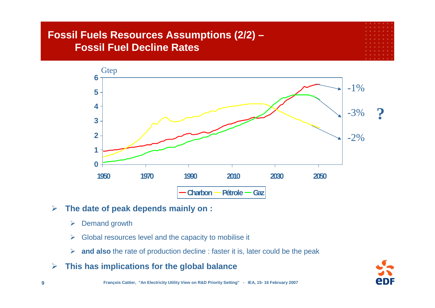# **Fossil Fuels Resources Assumptions (2/2) – Fossil Fuel Decline Rates**



#### $\blacktriangleright$ **The date of peak depends mainly on :**

- ¾Demand growth
- $\blacktriangleright$ Global resources level and the capacity to mobilise it
- ¾ **and also** the rate of production decline : faster it is, later could be the peak
- $\blacktriangleright$ **This has implications for the global balance**

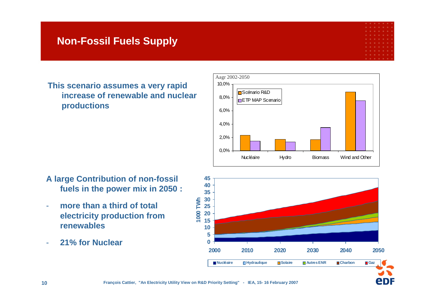### **Non-Fossil Fuels Supply**

**eDF** 

**This scenario assumes a very rapid increase of renewable and nuclear productions**



- **A large Contribution of non-fossil fuels in the power mix in 2050 :**
- **more than a third of total electricity production from renewables**
- -**21% for Nuclear**

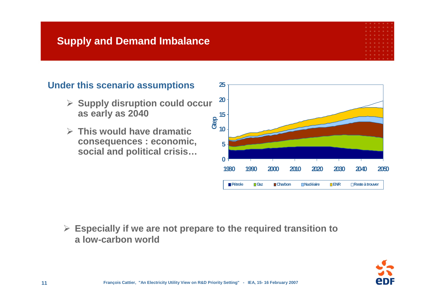### **Supply and Demand Imbalance**

### **Under this scenario assumptions**

- ¾ **Supply disruption could occur as early as 2040**
- ¾ **This would have dramatic consequences : economic, social and political crisis…**



¾ **Especially if we are not prepare to the required transition to a low-carbon world**

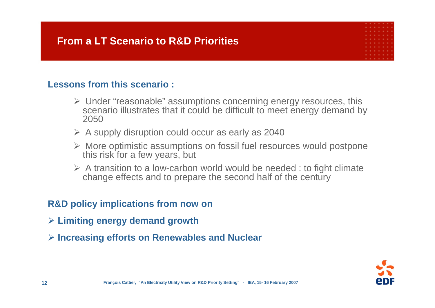### **Lessons from this scenario :**

- ¾ Under "reasonable" assumptions concerning energy resources, this scenario illustrates that it could be difficult to meet energy demand by 2050
- $\triangleright$  A supply disruption could occur as early as 2040
- ¾ More optimistic assumptions on fossil fuel resources would postpone this risk for a few years, but
- $\triangleright$  A transition to a low-carbon world would be needed : to fight climate change effects and to prepare the second half of the century

### **R&D policy implications from now on**

- ¾ **Limiting energy demand growth**
- ¾ **Increasing efforts on Renewables and Nuclear**

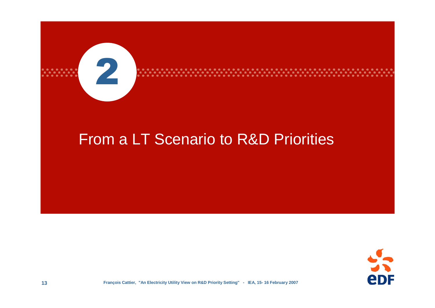

# From a LT Scenario to R&D Priorities

. . . . . . . . . . . . . . . . .<br>. . . . . . . . . . . . . . . .

. . . . . . . . . . . . .



. . . . . . . . . . .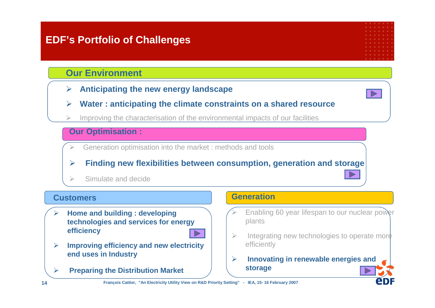### **EDF's Portfolio of Challenges**

### **Our Environment**

¾**Anticipating the new energy landscape**

- 
- ¾**Water : anticipating the climate constraints on a shared resource**
- ¾Improving the characterisation of the environmental impacts of our facilities

### **Our Optimisation :**

- $\blacktriangleright$ Generation optimisation into the market : methods and tools
- ¾**Finding new flexibilities between consumption, generation and storage**
- ¾Simulate and decide

### **Customers**

¾ **Home and building : developing technologies and services for energy efficiency**



- $\blacktriangleright$  **Improving efficiency and new electricity end uses in Industry**
- $\blacktriangleright$ **Preparing the Distribution Market**

### **Generation**

- $\blacktriangleright$  Enabling 60 year lifespan to our nuclear power plants
- $\geq$  Integrating new technologies to operate more efficiently
- ¾ **Innovating in renewable energies and storage**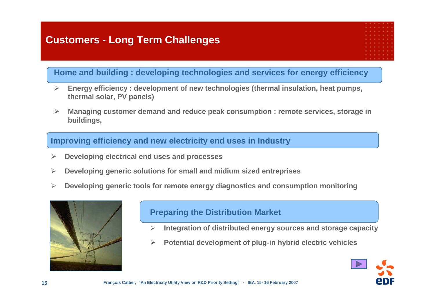### **Customers - Long Term Challenges**

### **Home and building : developing technologies and services for energy efficiency**

- $\triangleright$  **Energy efficiency : development of new technologies (thermal insulation, heat pumps, thermal solar, PV panels)**
- $\blacktriangleright$  **Managing customer demand and reduce peak consumption : remote services, storage in buildings,**

### **Improving efficiency and new electricity end uses in Industry**

- ¾**Developing electrical end uses and processes**
- ¾**Developing generic solutions for small and midium sized entreprises**
- ¾**Developing generic tools for remote energy diagnostics and consumption monitoring**



### **Preparing the Distribution Market**

- ¾**Integration of distributed energy sources and storage capacity**
- ¾**Potential development of plug-in hybrid electric vehicles**

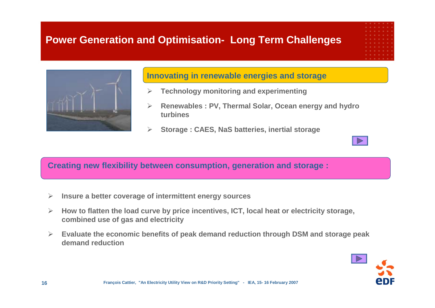### **Power Generation and Optimisation- Long Term Challenges**



### **Innovating in renewable energies and storage**

- ¾**Technology monitoring and experimenting**
- $\blacktriangleright$  **Renewables : PV, Thermal Solar, Ocean energy and hydro turbines**
- $\blacktriangleright$ **Storage : CAES, NaS batteries, inertial storage**

### **Creating new flexibility between consumption, generation and storage :**

- ¾**Insure a better coverage of intermittent energy sources**
- $\blacktriangleright$  **How to flatten the load curve by price incentives, ICT, local heat or electricity storage, combined use of gas and electricity**
- $\blacktriangleright$  **Evaluate the economic benefits of peak demand reduction through DSM and storage peak demand reduction**